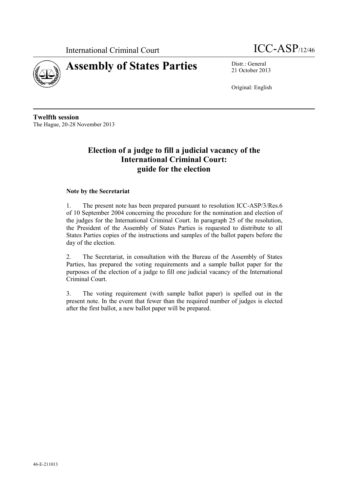International Criminal Court ICC-ASP/12/46





21 October 2013

Original: English

**Twelfth session** The Hague, 20-28 November 2013

### **Election of a judge to fill a judicial vacancy of the International Criminal Court: guide for the election**

#### **Note by the Secretariat**

1. The present note has been prepared pursuant to resolution ICC-ASP/3/Res.6 of 10 September 2004 concerning the procedure for the nomination and election of the judges for the International Criminal Court. In paragraph 25 of the resolution, the President of the Assembly of States Parties is requested to distribute to all States Parties copies of the instructions and samples of the ballot papers before the day of the election.

2. The Secretariat, in consultation with the Bureau of the Assembly of States Parties, has prepared the voting requirements and a sample ballot paper for the purposes of the election of a judge to fill one judicial vacancy of the International Criminal Court.

3. The voting requirement (with sample ballot paper) is spelled out in the present note. In the event that fewer than the required number of judges is elected after the first ballot, a new ballot paper will be prepared.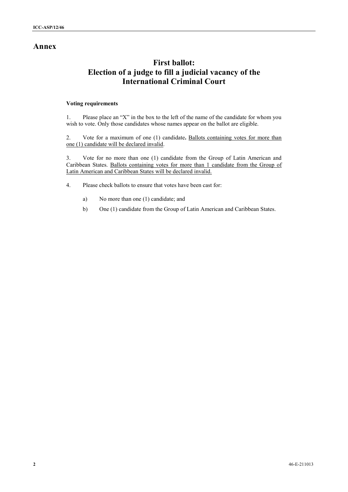### **Annex**

## **First ballot: Election of a judge to fill a judicial vacancy of the International Criminal Court**

#### **Voting requirements**

1. Please place an "X" in the box to the left of the name of the candidate for whom you wish to vote. Only those candidates whose names appear on the ballot are eligible.

2. Vote for a maximum of one (1) candidate**.** Ballots containing votes for more than one (1) candidate will be declared invalid.

3. Vote for no more than one (1) candidate from the Group of Latin American and Caribbean States. Ballots containing votes for more than 1 candidate from the Group of Latin American and Caribbean States will be declared invalid.

- 4. Please check ballots to ensure that votes have been cast for:
	- a) No more than one (1) candidate; and
	- b) One (1) candidate from the Group of Latin American and Caribbean States.